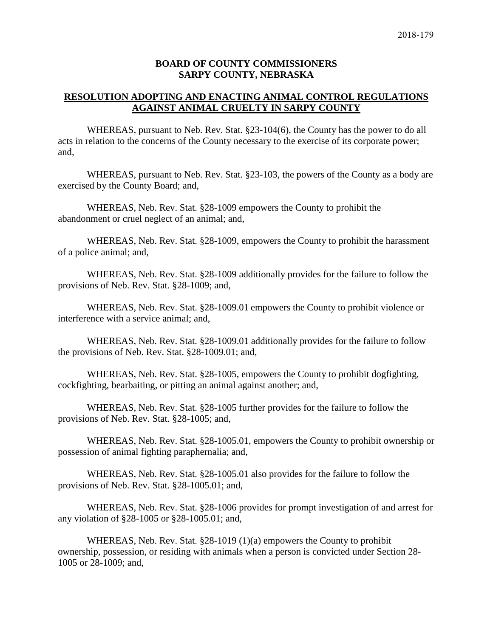### **BOARD OF COUNTY COMMISSIONERS SARPY COUNTY, NEBRASKA**

# **RESOLUTION ADOPTING AND ENACTING ANIMAL CONTROL REGULATIONS AGAINST ANIMAL CRUELTY IN SARPY COUNTY**

WHEREAS, pursuant to Neb. Rev. Stat. §23-104(6), the County has the power to do all acts in relation to the concerns of the County necessary to the exercise of its corporate power; and,

WHEREAS, pursuant to Neb. Rev. Stat. §23-103, the powers of the County as a body are exercised by the County Board; and,

WHEREAS, Neb. Rev. Stat. §28-1009 empowers the County to prohibit the abandonment or cruel neglect of an animal; and,

WHEREAS, Neb. Rev. Stat. §28-1009, empowers the County to prohibit the harassment of a police animal; and,

WHEREAS, Neb. Rev. Stat. §28-1009 additionally provides for the failure to follow the provisions of Neb. Rev. Stat. §28-1009; and,

WHEREAS, Neb. Rev. Stat. §28-1009.01 empowers the County to prohibit violence or interference with a service animal; and,

WHEREAS, Neb. Rev. Stat. §28-1009.01 additionally provides for the failure to follow the provisions of Neb. Rev. Stat. §28-1009.01; and,

WHEREAS, Neb. Rev. Stat. §28-1005, empowers the County to prohibit dogfighting, cockfighting, bearbaiting, or pitting an animal against another; and,

WHEREAS, Neb. Rev. Stat. §28-1005 further provides for the failure to follow the provisions of Neb. Rev. Stat. §28-1005; and,

WHEREAS, Neb. Rev. Stat. §28-1005.01, empowers the County to prohibit ownership or possession of animal fighting paraphernalia; and,

WHEREAS, Neb. Rev. Stat. §28-1005.01 also provides for the failure to follow the provisions of Neb. Rev. Stat. §28-1005.01; and,

WHEREAS, Neb. Rev. Stat. §28-1006 provides for prompt investigation of and arrest for any violation of §28-1005 or §28-1005.01; and,

WHEREAS, Neb. Rev. Stat. §28-1019 (1)(a) empowers the County to prohibit ownership, possession, or residing with animals when a person is convicted under Section 28- 1005 or 28-1009; and,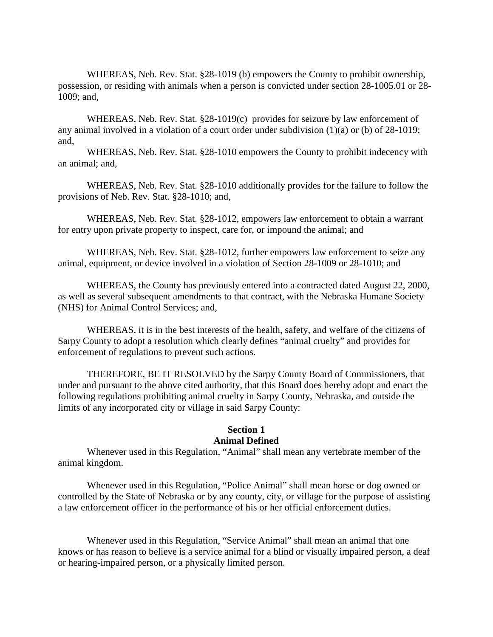WHEREAS, Neb. Rev. Stat. §28-1019 (b) empowers the County to prohibit ownership, possession, or residing with animals when a person is convicted under section 28-1005.01 or 28- 1009; and,

WHEREAS, Neb. Rev. Stat. §28-1019(c) provides for seizure by law enforcement of any animal involved in a violation of a court order under subdivision (1)(a) or (b) of 28-1019; and,

WHEREAS, Neb. Rev. Stat. §28-1010 empowers the County to prohibit indecency with an animal; and,

WHEREAS, Neb. Rev. Stat. §28-1010 additionally provides for the failure to follow the provisions of Neb. Rev. Stat. §28-1010; and,

WHEREAS, Neb. Rev. Stat. §28-1012, empowers law enforcement to obtain a warrant for entry upon private property to inspect, care for, or impound the animal; and

WHEREAS, Neb. Rev. Stat. §28-1012, further empowers law enforcement to seize any animal, equipment, or device involved in a violation of Section 28-1009 or 28-1010; and

WHEREAS, the County has previously entered into a contracted dated August 22, 2000, as well as several subsequent amendments to that contract, with the Nebraska Humane Society (NHS) for Animal Control Services; and,

WHEREAS, it is in the best interests of the health, safety, and welfare of the citizens of Sarpy County to adopt a resolution which clearly defines "animal cruelty" and provides for enforcement of regulations to prevent such actions.

THEREFORE, BE IT RESOLVED by the Sarpy County Board of Commissioners, that under and pursuant to the above cited authority, that this Board does hereby adopt and enact the following regulations prohibiting animal cruelty in Sarpy County, Nebraska, and outside the limits of any incorporated city or village in said Sarpy County:

# **Section 1 Animal Defined**

Whenever used in this Regulation, "Animal" shall mean any vertebrate member of the animal kingdom.

Whenever used in this Regulation, "Police Animal" shall mean horse or dog owned or controlled by the State of Nebraska or by any county, city, or village for the purpose of assisting a law enforcement officer in the performance of his or her official enforcement duties.

Whenever used in this Regulation, "Service Animal" shall mean an animal that one knows or has reason to believe is a service animal for a blind or visually impaired person, a deaf or hearing-impaired person, or a physically limited person.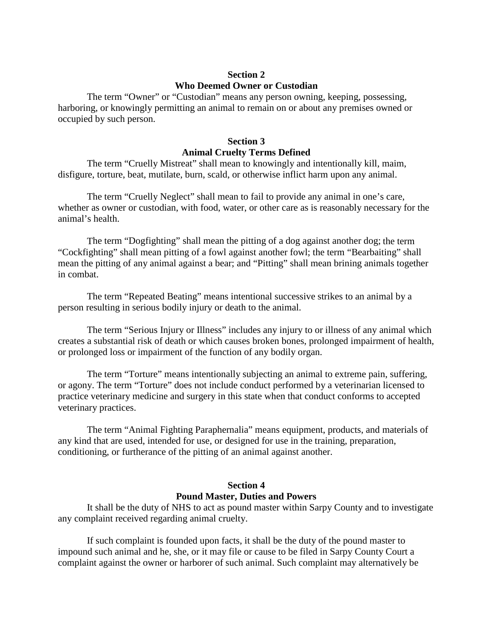# **Section 2 Who Deemed Owner or Custodian**

The term "Owner" or "Custodian" means any person owning, keeping, possessing, harboring, or knowingly permitting an animal to remain on or about any premises owned or occupied by such person.

# **Section 3 Animal Cruelty Terms Defined**

The term "Cruelly Mistreat" shall mean to knowingly and intentionally kill, maim, disfigure, torture, beat, mutilate, burn, scald, or otherwise inflict harm upon any animal.

The term "Cruelly Neglect" shall mean to fail to provide any animal in one's care, whether as owner or custodian, with food, water, or other care as is reasonably necessary for the animal's health.

The term "Dogfighting" shall mean the pitting of a dog against another dog; the term "Cockfighting" shall mean pitting of a fowl against another fowl; the term "Bearbaiting" shall mean the pitting of any animal against a bear; and "Pitting" shall mean brining animals together in combat.

The term "Repeated Beating" means intentional successive strikes to an animal by a person resulting in serious bodily injury or death to the animal.

The term "Serious Injury or Illness" includes any injury to or illness of any animal which creates a substantial risk of death or which causes broken bones, prolonged impairment of health, or prolonged loss or impairment of the function of any bodily organ.

The term "Torture" means intentionally subjecting an animal to extreme pain, suffering, or agony. The term "Torture" does not include conduct performed by a veterinarian licensed to practice veterinary medicine and surgery in this state when that conduct conforms to accepted veterinary practices.

The term "Animal Fighting Paraphernalia" means equipment, products, and materials of any kind that are used, intended for use, or designed for use in the training, preparation, conditioning, or furtherance of the pitting of an animal against another.

# **Section 4 Pound Master, Duties and Powers**

It shall be the duty of NHS to act as pound master within Sarpy County and to investigate any complaint received regarding animal cruelty.

If such complaint is founded upon facts, it shall be the duty of the pound master to impound such animal and he, she, or it may file or cause to be filed in Sarpy County Court a complaint against the owner or harborer of such animal. Such complaint may alternatively be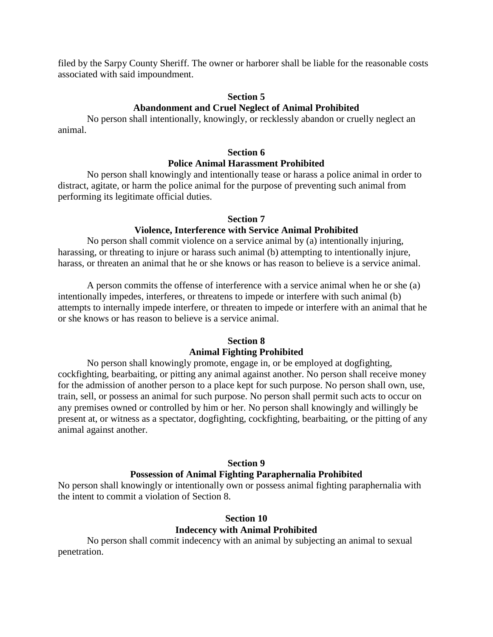filed by the Sarpy County Sheriff. The owner or harborer shall be liable for the reasonable costs associated with said impoundment.

### **Section 5 Abandonment and Cruel Neglect of Animal Prohibited**

No person shall intentionally, knowingly, or recklessly abandon or cruelly neglect an animal.

### **Section 6 Police Animal Harassment Prohibited**

No person shall knowingly and intentionally tease or harass a police animal in order to distract, agitate, or harm the police animal for the purpose of preventing such animal from performing its legitimate official duties.

### **Section 7**

# **Violence, Interference with Service Animal Prohibited**

No person shall commit violence on a service animal by (a) intentionally injuring, harassing, or threating to injure or harass such animal (b) attempting to intentionally injure, harass, or threaten an animal that he or she knows or has reason to believe is a service animal.

A person commits the offense of interference with a service animal when he or she (a) intentionally impedes, interferes, or threatens to impede or interfere with such animal (b) attempts to internally impede interfere, or threaten to impede or interfere with an animal that he or she knows or has reason to believe is a service animal.

## **Section 8**

#### **Animal Fighting Prohibited**

No person shall knowingly promote, engage in, or be employed at dogfighting, cockfighting, bearbaiting, or pitting any animal against another. No person shall receive money for the admission of another person to a place kept for such purpose. No person shall own, use, train, sell, or possess an animal for such purpose. No person shall permit such acts to occur on any premises owned or controlled by him or her. No person shall knowingly and willingly be present at, or witness as a spectator, dogfighting, cockfighting, bearbaiting, or the pitting of any animal against another.

#### **Section 9**

#### **Possession of Animal Fighting Paraphernalia Prohibited**

No person shall knowingly or intentionally own or possess animal fighting paraphernalia with the intent to commit a violation of Section 8.

# **Section 10 Indecency with Animal Prohibited**

No person shall commit indecency with an animal by subjecting an animal to sexual penetration.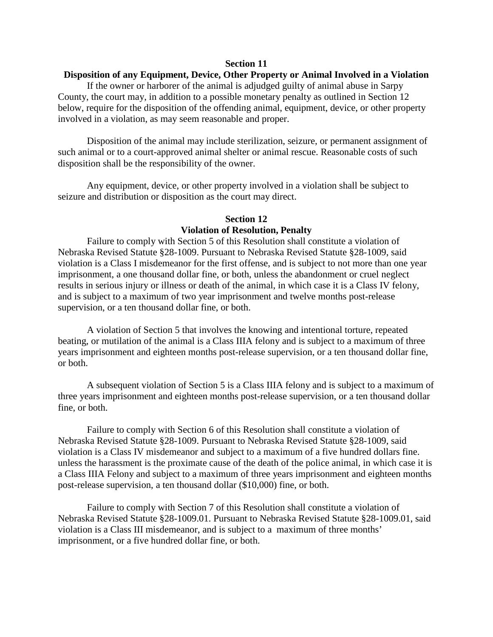#### **Section 11**

## **Disposition of any Equipment, Device, Other Property or Animal Involved in a Violation**

If the owner or harborer of the animal is adjudged guilty of animal abuse in Sarpy County, the court may, in addition to a possible monetary penalty as outlined in Section 12 below, require for the disposition of the offending animal, equipment, device, or other property involved in a violation, as may seem reasonable and proper.

Disposition of the animal may include sterilization, seizure, or permanent assignment of such animal or to a court-approved animal shelter or animal rescue. Reasonable costs of such disposition shall be the responsibility of the owner.

Any equipment, device, or other property involved in a violation shall be subject to seizure and distribution or disposition as the court may direct.

#### **Section 12**

## **Violation of Resolution, Penalty**

Failure to comply with Section 5 of this Resolution shall constitute a violation of Nebraska Revised Statute §28-1009. Pursuant to Nebraska Revised Statute §28-1009, said violation is a Class I misdemeanor for the first offense, and is subject to not more than one year imprisonment, a one thousand dollar fine, or both, unless the abandonment or cruel neglect results in serious injury or illness or death of the animal, in which case it is a Class IV felony, and is subject to a maximum of two year imprisonment and twelve months post-release supervision, or a ten thousand dollar fine, or both.

A violation of Section 5 that involves the knowing and intentional torture, repeated beating, or mutilation of the animal is a Class IIIA felony and is subject to a maximum of three years imprisonment and eighteen months post-release supervision, or a ten thousand dollar fine, or both.

A subsequent violation of Section 5 is a Class IIIA felony and is subject to a maximum of three years imprisonment and eighteen months post-release supervision, or a ten thousand dollar fine, or both.

Failure to comply with Section 6 of this Resolution shall constitute a violation of Nebraska Revised Statute §28-1009. Pursuant to Nebraska Revised Statute §28-1009, said violation is a Class IV misdemeanor and subject to a maximum of a five hundred dollars fine. unless the harassment is the proximate cause of the death of the police animal, in which case it is a Class IIIA Felony and subject to a maximum of three years imprisonment and eighteen months post-release supervision, a ten thousand dollar (\$10,000) fine, or both.

Failure to comply with Section 7 of this Resolution shall constitute a violation of Nebraska Revised Statute §28-1009.01. Pursuant to Nebraska Revised Statute §28-1009.01, said violation is a Class III misdemeanor, and is subject to a maximum of three months' imprisonment, or a five hundred dollar fine, or both.